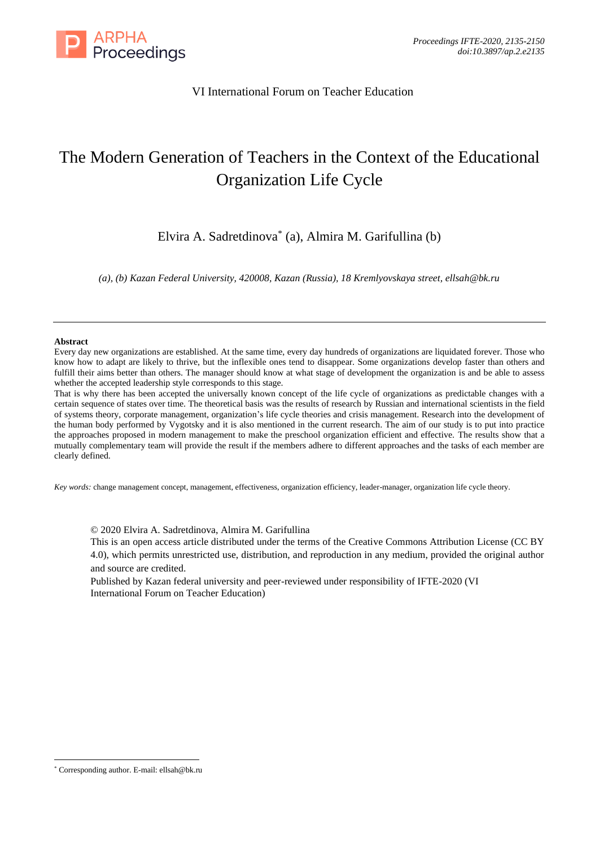

## VI International Forum on Teacher Education

# The Modern Generation of Teachers in the Context of the Educational Organization Life Cycle

Elvira A. Sadretdinova\* (a), Almira M. Garifullina (b)

*(a), (b) Kazan Federal University, 420008, Kazan (Russia), 18 Kremlyovskaya street, ellsah@bk.ru*

#### **Abstract**

Every day new organizations are established. At the same time, every day hundreds of organizations are liquidated forever. Those who know how to adapt are likely to thrive, but the inflexible ones tend to disappear. Some organizations develop faster than others and fulfill their aims better than others. The manager should know at what stage of development the organization is and be able to assess whether the accepted leadership style corresponds to this stage.

That is why there has been accepted the universally known concept of the life cycle of organizations as predictable changes with a certain sequence of states over time. The theoretical basis was the results of research by Russian and international scientists in the field of systems theory, corporate management, organization's life cycle theories and crisis management. Research into the development of the human body performed by Vygotsky and it is also mentioned in the current research. The aim of our study is to put into practice the approaches proposed in modern management to make the preschool organization efficient and effective. The results show that a mutually complementary team will provide the result if the members adhere to different approaches and the tasks of each member are clearly defined.

*Key words:* change management concept, management, effectiveness, organization efficiency, leader-manager, organization life cycle theory.

© 2020 Elvira A. Sadretdinova, Almira M. Garifullina

This is an open access article distributed under the terms of the Creative Commons Attribution License (CC BY 4.0), which permits unrestricted use, distribution, and reproduction in any medium, provided the original author and source are credited.

Published by Kazan federal university and peer-reviewed under responsibility of IFTE-2020 (VI International Forum on Teacher Education)

<sup>\*</sup> Corresponding author. E-mail: ellsah@bk.ru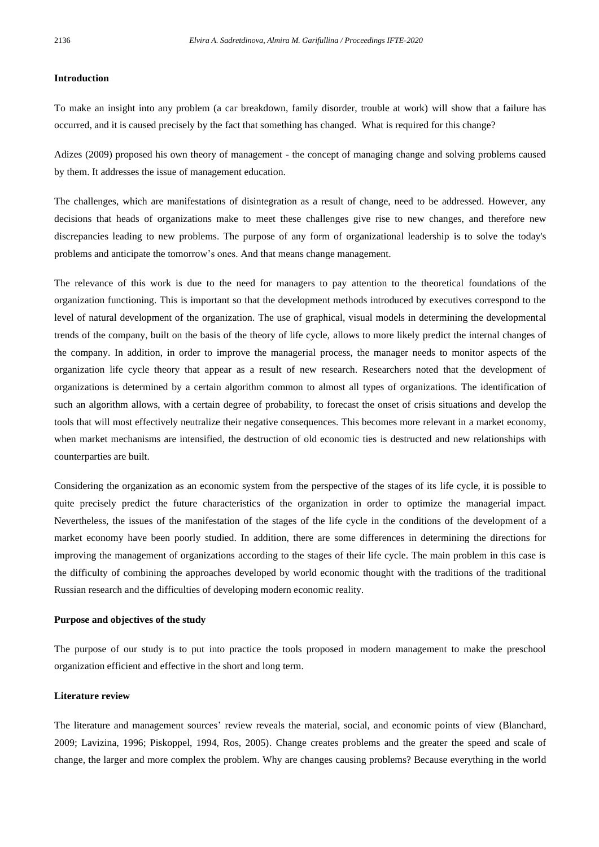#### **Introduction**

To make an insight into any problem (a car breakdown, family disorder, trouble at work) will show that a failure has occurred, and it is caused precisely by the fact that something has changed. What is required for this change?

Adizes (2009) proposed his own theory of management - the concept of managing change and solving problems caused by them. It addresses the issue of management education.

The challenges, which are manifestations of disintegration as a result of change, need to be addressed. However, any decisions that heads of organizations make to meet these challenges give rise to new changes, and therefore new discrepancies leading to new problems. The purpose of any form of organizational leadership is to solve the today's problems and anticipate the tomorrow's ones. And that means change management.

The relevance of this work is due to the need for managers to pay attention to the theoretical foundations of the organization functioning. This is important so that the development methods introduced by executives correspond to the level of natural development of the organization. The use of graphical, visual models in determining the developmental trends of the company, built on the basis of the theory of life cycle, allows to more likely predict the internal changes of the company. In addition, in order to improve the managerial process, the manager needs to monitor aspects of the organization life cycle theory that appear as a result of new research. Researchers noted that the development of organizations is determined by a certain algorithm common to almost all types of organizations. The identification of such an algorithm allows, with a certain degree of probability, to forecast the onset of crisis situations and develop the tools that will most effectively neutralize their negative consequences. This becomes more relevant in a market economy, when market mechanisms are intensified, the destruction of old economic ties is destructed and new relationships with counterparties are built.

Considering the organization as an economic system from the perspective of the stages of its life cycle, it is possible to quite precisely predict the future characteristics of the organization in order to optimize the managerial impact. Nevertheless, the issues of the manifestation of the stages of the life cycle in the conditions of the development of a market economy have been poorly studied. In addition, there are some differences in determining the directions for improving the management of organizations according to the stages of their life cycle. The main problem in this case is the difficulty of combining the approaches developed by world economic thought with the traditions of the traditional Russian research and the difficulties of developing modern economic reality.

#### **Purpose and objectives of the study**

The purpose of our study is to put into practice the tools proposed in modern management to make the preschool organization efficient and effective in the short and long term.

#### **Literature review**

The literature and management sources' review reveals the material, social, and economic points of view (Blanchard, 2009; Lavizina, 1996; Piskoppel, 1994, Ros, 2005). Change creates problems and the greater the speed and scale of change, the larger and more complex the problem. Why are changes causing problems? Because everything in the world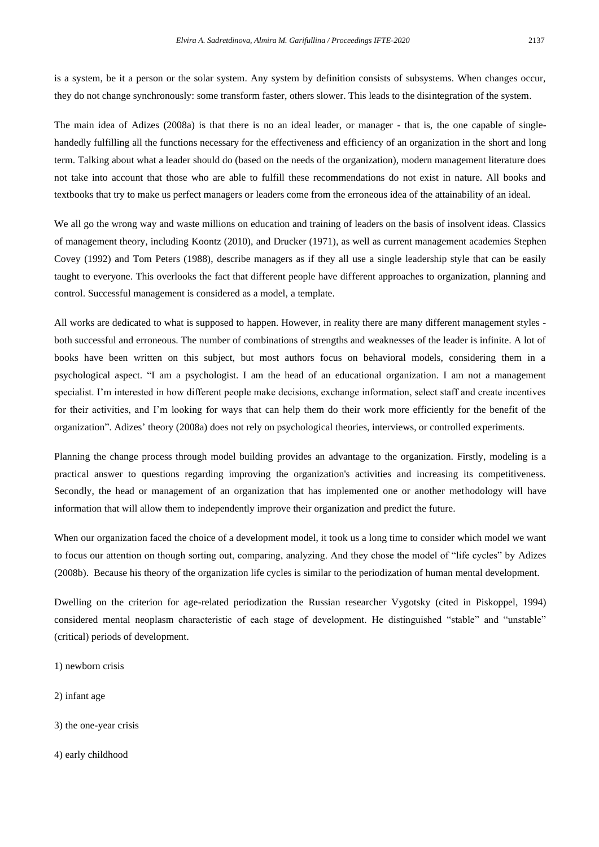is a system, be it a person or the solar system. Any system by definition consists of subsystems. When changes occur, they do not change synchronously: some transform faster, others slower. This leads to the disintegration of the system.

The main idea of Adizes (2008a) is that there is no an ideal leader, or manager - that is, the one capable of singlehandedly fulfilling all the functions necessary for the effectiveness and efficiency of an organization in the short and long term. Talking about what a leader should do (based on the needs of the organization), modern management literature does not take into account that those who are able to fulfill these recommendations do not exist in nature. All books and textbooks that try to make us perfect managers or leaders come from the erroneous idea of the attainability of an ideal.

We all go the wrong way and waste millions on education and training of leaders on the basis of insolvent ideas. Classics of management theory, including Koontz (2010), and Drucker (1971), as well as current management academies Stephen Covey (1992) and Tom Peters (1988), describe managers as if they all use a single leadership style that can be easily taught to everyone. This overlooks the fact that different people have different approaches to organization, planning and control. Successful management is considered as a model, a template.

All works are dedicated to what is supposed to happen. However, in reality there are many different management styles both successful and erroneous. The number of combinations of strengths and weaknesses of the leader is infinite. A lot of books have been written on this subject, but most authors focus on behavioral models, considering them in a psychological aspect. "I am a psychologist. I am the head of an educational organization. I am not a management specialist. I'm interested in how different people make decisions, exchange information, select staff and create incentives for their activities, and I'm looking for ways that can help them do their work more efficiently for the benefit of the organization". Adizes' theory (2008a) does not rely on psychological theories, interviews, or controlled experiments.

Planning the change process through model building provides an advantage to the organization. Firstly, modeling is a practical answer to questions regarding improving the organization's activities and increasing its competitiveness. Secondly, the head or management of an organization that has implemented one or another methodology will have information that will allow them to independently improve their organization and predict the future.

When our organization faced the choice of a development model, it took us a long time to consider which model we want to focus our attention on though sorting out, comparing, analyzing. And they chose the model of "life cycles" by Adizes (2008b). Because his theory of the organization life cycles is similar to the periodization of human mental development.

Dwelling on the criterion for age-related periodization the Russian researcher Vygotsky (cited in Piskoppel, 1994) considered mental neoplasm characteristic of each stage of development. He distinguished "stable" and "unstable" (critical) periods of development.

- 1) newborn crisis
- 2) infant age
- 3) the one-year crisis
- 4) early childhood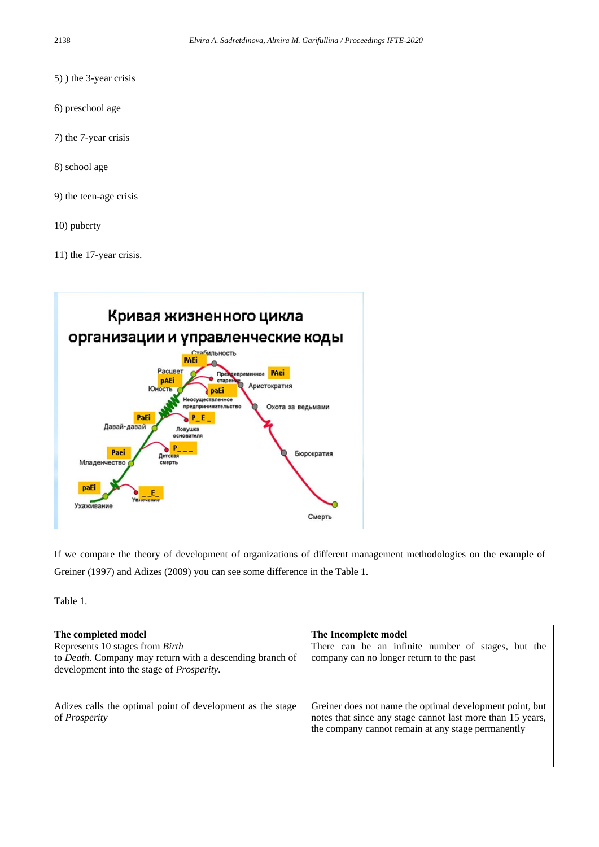- 5) ) the 3-year crisis
- 6) preschool age
- 7) the 7-year crisis
- 8) school age
- 9) the teen-age crisis
- 10) puberty
- 11) the 17-year crisis.



If we compare the theory of development of organizations of different management methodologies on the example of Greiner (1997) and Adizes (2009) you can see some difference in the Table 1.

Table 1.

| The completed model<br>Represents 10 stages from Birth<br>to <i>Death</i> . Company may return with a descending branch of<br>development into the stage of <i>Prosperity</i> . | The Incomplete model<br>There can be an infinite number of stages, but the<br>company can no longer return to the past                                                       |
|---------------------------------------------------------------------------------------------------------------------------------------------------------------------------------|------------------------------------------------------------------------------------------------------------------------------------------------------------------------------|
| Adizes calls the optimal point of development as the stage<br>of <i>Prosperity</i>                                                                                              | Greiner does not name the optimal development point, but<br>notes that since any stage cannot last more than 15 years,<br>the company cannot remain at any stage permanently |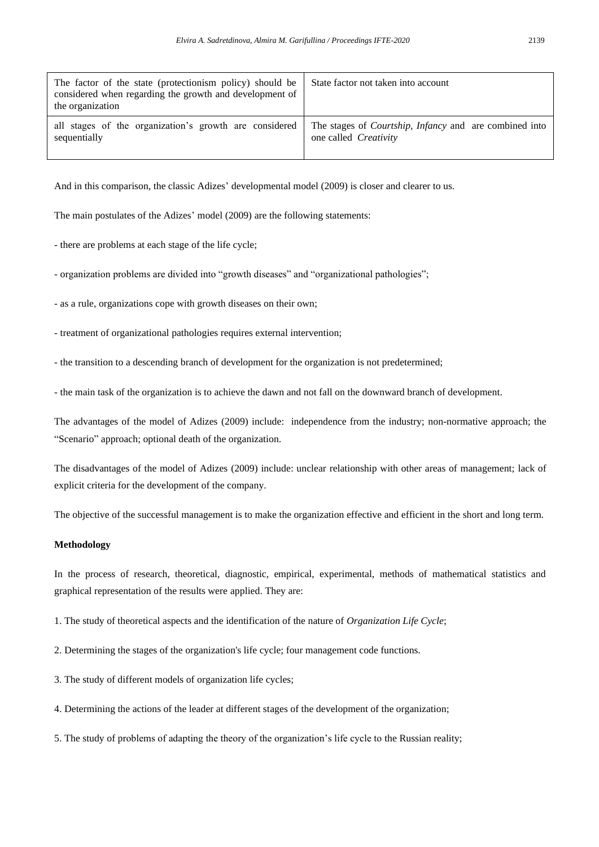| The factor of the state (protectionism policy) should be<br>considered when regarding the growth and development of<br>the organization | State factor not taken into account                                   |
|-----------------------------------------------------------------------------------------------------------------------------------------|-----------------------------------------------------------------------|
| all stages of the organization's growth are considered                                                                                  | The stages of <i>Courtship</i> , <i>Infancy</i> and are combined into |
| sequentially                                                                                                                            | one called <i>Creativity</i>                                          |

And in this comparison, the classic Adizes' developmental model (2009) is closer and clearer to us.

The main postulates of the Adizes' model (2009) are the following statements:

- there are problems at each stage of the life cycle;

- organization problems are divided into "growth diseases" and "organizational pathologies";

- as a rule, organizations cope with growth diseases on their own;
- treatment of organizational pathologies requires external intervention;
- the transition to a descending branch of development for the organization is not predetermined;

- the main task of the organization is to achieve the dawn and not fall on the downward branch of development.

The advantages of the model of Adizes (2009) include: independence from the industry; non-normative approach; the "Scenario" approach; optional death of the organization.

The disadvantages of the model of Adizes (2009) include: unclear relationship with other areas of management; lack of explicit criteria for the development of the company.

The objective of the successful management is to make the organization effective and efficient in the short and long term.

### **Methodology**

In the process of research, theoretical, diagnostic, empirical, experimental, methods of mathematical statistics and graphical representation of the results were applied. They are:

1. The study of theoretical aspects and the identification of the nature of *Organization Life Cycle*;

- 2. Determining the stages of the organization's life cycle; four management code functions.
- 3. The study of different models of organization life cycles;
- 4. Determining the actions of the leader at different stages of the development of the organization;
- 5. The study of problems of adapting the theory of the organization's life cycle to the Russian reality;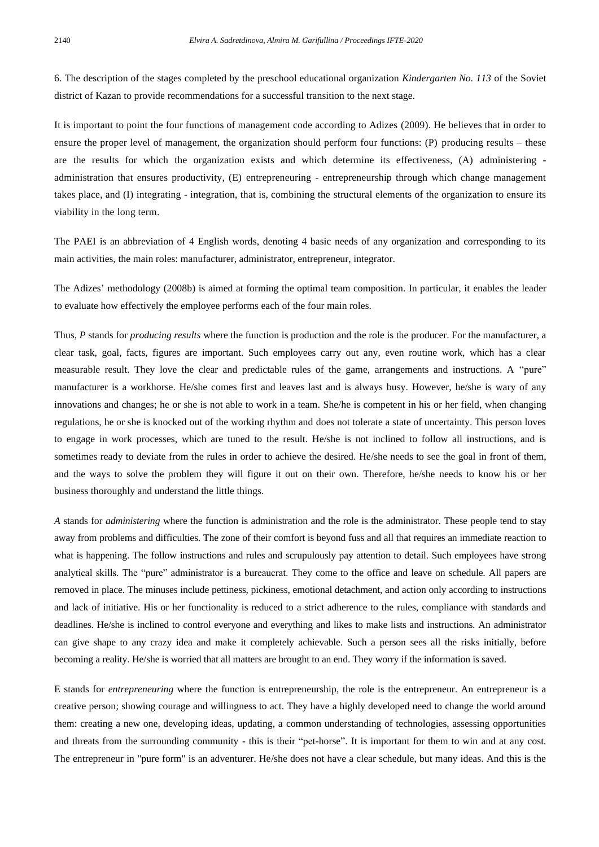6. The description of the stages completed by the preschool educational organization *Kindergarten No. 113* of the Soviet district of Kazan to provide recommendations for a successful transition to the next stage.

It is important to point the four functions of management code according to Adizes (2009). He believes that in order to ensure the proper level of management, the organization should perform four functions: (P) producing results – these are the results for which the organization exists and which determine its effectiveness, (A) administering administration that ensures productivity, (E) entrepreneuring - entrepreneurship through which change management takes place, and (I) integrating - integration, that is, combining the structural elements of the organization to ensure its viability in the long term.

The PAEI is an abbreviation of 4 English words, denoting 4 basic needs of any organization and corresponding to its main activities, the main roles: manufacturer, administrator, entrepreneur, integrator.

The Adizes' methodology (2008b) is aimed at forming the optimal team composition. In particular, it enables the leader to evaluate how effectively the employee performs each of the four main roles.

Thus, P stands for *producing results* where the function is production and the role is the producer. For the manufacturer, a clear task, goal, facts, figures are important. Such employees carry out any, even routine work, which has a clear measurable result. They love the clear and predictable rules of the game, arrangements and instructions. A "pure" manufacturer is a workhorse. He/she comes first and leaves last and is always busy. However, he/she is wary of any innovations and changes; he or she is not able to work in a team. She/he is competent in his or her field, when changing regulations, he or she is knocked out of the working rhythm and does not tolerate a state of uncertainty. This person loves to engage in work processes, which are tuned to the result. He/she is not inclined to follow all instructions, and is sometimes ready to deviate from the rules in order to achieve the desired. He/she needs to see the goal in front of them, and the ways to solve the problem they will figure it out on their own. Therefore, he/she needs to know his or her business thoroughly and understand the little things.

*A* stands for *administering* where the function is administration and the role is the administrator. These people tend to stay away from problems and difficulties. The zone of their comfort is beyond fuss and all that requires an immediate reaction to what is happening. The follow instructions and rules and scrupulously pay attention to detail. Such employees have strong analytical skills. The "pure" administrator is a bureaucrat. They come to the office and leave on schedule. All papers are removed in place. The minuses include pettiness, pickiness, emotional detachment, and action only according to instructions and lack of initiative. His or her functionality is reduced to a strict adherence to the rules, compliance with standards and deadlines. He/she is inclined to control everyone and everything and likes to make lists and instructions. An administrator can give shape to any crazy idea and make it completely achievable. Such a person sees all the risks initially, before becoming a reality. He/she is worried that all matters are brought to an end. They worry if the information is saved.

E stands for *entrepreneuring* where the function is entrepreneurship, the role is the entrepreneur. An entrepreneur is a creative person; showing courage and willingness to act. They have a highly developed need to change the world around them: creating a new one, developing ideas, updating, a common understanding of technologies, assessing opportunities and threats from the surrounding community - this is their "pet-horse". It is important for them to win and at any cost. The entrepreneur in "pure form" is an adventurer. He/she does not have a clear schedule, but many ideas. And this is the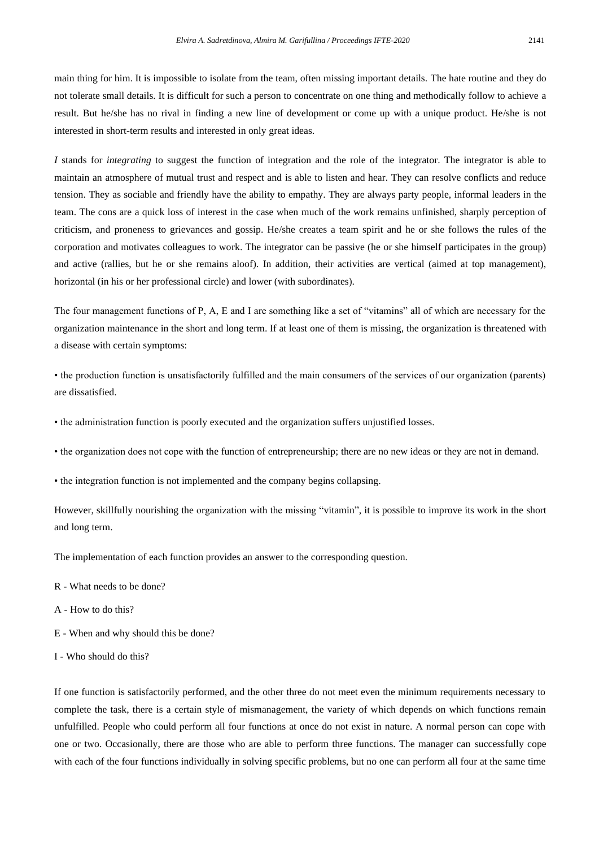main thing for him. It is impossible to isolate from the team, often missing important details. The hate routine and they do not tolerate small details. It is difficult for such a person to concentrate on one thing and methodically follow to achieve a result. But he/she has no rival in finding a new line of development or come up with a unique product. He/she is not interested in short-term results and interested in only great ideas.

*I* stands for *integrating* to suggest the function of integration and the role of the integrator. The integrator is able to maintain an atmosphere of mutual trust and respect and is able to listen and hear. They can resolve conflicts and reduce tension. They as sociable and friendly have the ability to empathy. They are always party people, informal leaders in the team. The cons are a quick loss of interest in the case when much of the work remains unfinished, sharply perception of criticism, and proneness to grievances and gossip. He/she creates a team spirit and he or she follows the rules of the corporation and motivates colleagues to work. The integrator can be passive (he or she himself participates in the group) and active (rallies, but he or she remains aloof). In addition, their activities are vertical (aimed at top management), horizontal (in his or her professional circle) and lower (with subordinates).

The four management functions of P, A, E and I are something like a set of "vitamins" all of which are necessary for the organization maintenance in the short and long term. If at least one of them is missing, the organization is threatened with a disease with certain symptoms:

• the production function is unsatisfactorily fulfilled and the main consumers of the services of our organization (parents) are dissatisfied.

• the administration function is poorly executed and the organization suffers unjustified losses.

• the organization does not cope with the function of entrepreneurship; there are no new ideas or they are not in demand.

• the integration function is not implemented and the company begins collapsing.

However, skillfully nourishing the organization with the missing "vitamin", it is possible to improve its work in the short and long term.

The implementation of each function provides an answer to the corresponding question.

- R What needs to be done?
- A How to do this?
- E When and why should this be done?
- I Who should do this?

If one function is satisfactorily performed, and the other three do not meet even the minimum requirements necessary to complete the task, there is a certain style of mismanagement, the variety of which depends on which functions remain unfulfilled. People who could perform all four functions at once do not exist in nature. A normal person can cope with one or two. Occasionally, there are those who are able to perform three functions. The manager can successfully cope with each of the four functions individually in solving specific problems, but no one can perform all four at the same time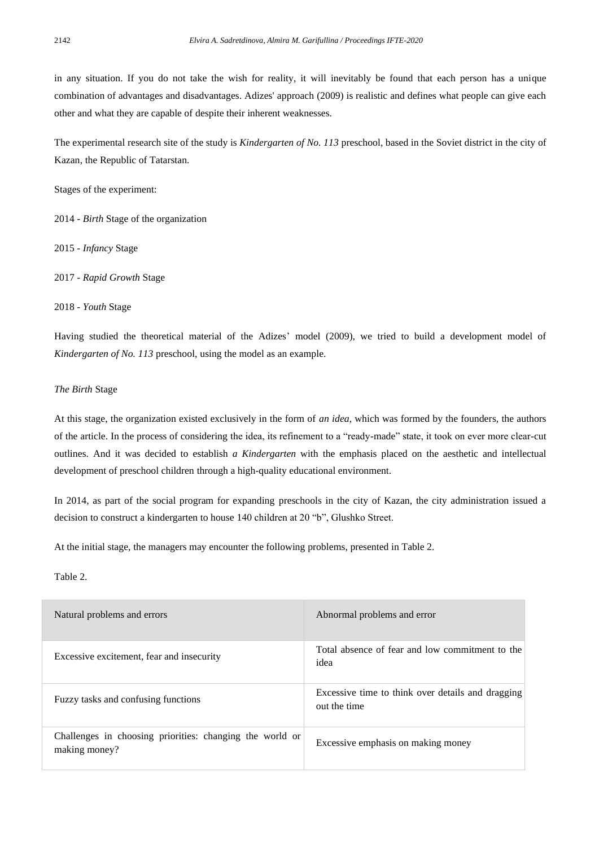in any situation. If you do not take the wish for reality, it will inevitably be found that each person has a unique combination of advantages and disadvantages. Adizes' approach (2009) is realistic and defines what people can give each other and what they are capable of despite their inherent weaknesses.

The experimental research site of the study is *Kindergarten of No. 113* preschool, based in the Soviet district in the city of Kazan, the Republic of Tatarstan.

Stages of the experiment:

2014 - *Birth* Stage of the organization

2015 - *Infancy* Stage

2017 - *Rapid Growth* Stage

#### 2018 - *Youth* Stage

Having studied the theoretical material of the Adizes' model (2009), we tried to build a development model of *Kindergarten of No. 113* preschool, using the model as an example.

## *The Birth* Stage

At this stage, the organization existed exclusively in the form of *an idea*, which was formed by the founders, the authors of the article. In the process of considering the idea, its refinement to a "ready-made" state, it took on ever more clear-cut outlines. And it was decided to establish *a Kindergarten* with the emphasis placed on the aesthetic and intellectual development of preschool children through a high-quality educational environment.

In 2014, as part of the social program for expanding preschools in the city of Kazan, the city administration issued a decision to construct a kindergarten to house 140 children at 20 "b", Glushko Street.

At the initial stage, the managers may encounter the following problems, presented in Table 2.

## Table 2.

| Natural problems and errors                                               | Abnormal problems and error                                       |
|---------------------------------------------------------------------------|-------------------------------------------------------------------|
| Excessive excitement, fear and insecurity                                 | Total absence of fear and low commitment to the<br>idea           |
| Fuzzy tasks and confusing functions                                       | Excessive time to think over details and dragging<br>out the time |
| Challenges in choosing priorities: changing the world or<br>making money? | Excessive emphasis on making money                                |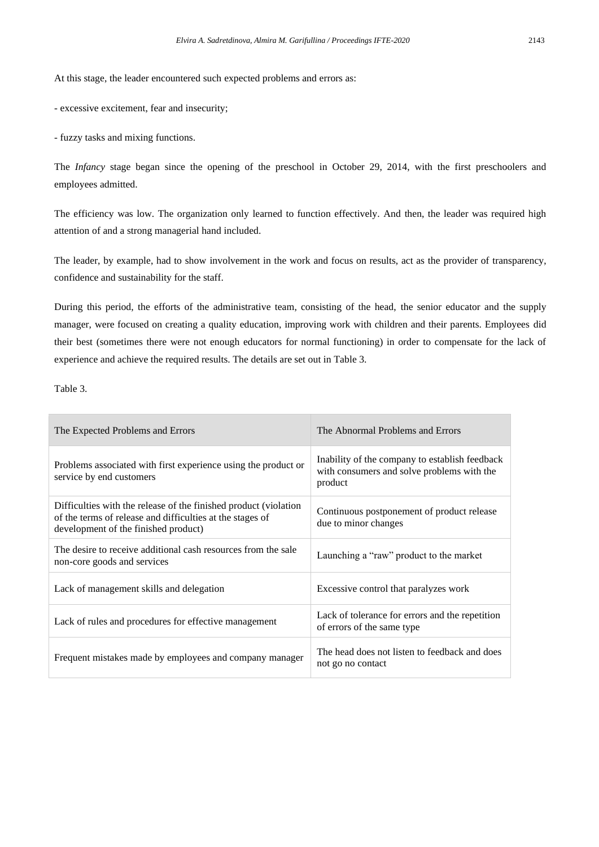At this stage, the leader encountered such expected problems and errors as:

- excessive excitement, fear and insecurity;

- fuzzy tasks and mixing functions.

The *Infancy* stage began since the opening of the preschool in October 29, 2014, with the first preschoolers and employees admitted.

The efficiency was low. The organization only learned to function effectively. And then, the leader was required high attention of and a strong managerial hand included.

The leader, by example, had to show involvement in the work and focus on results, act as the provider of transparency, confidence and sustainability for the staff.

During this period, the efforts of the administrative team, consisting of the head, the senior educator and the supply manager, were focused on creating a quality education, improving work with children and their parents. Employees did their best (sometimes there were not enough educators for normal functioning) in order to compensate for the lack of experience and achieve the required results. The details are set out in Table 3.

Table 3.

| The Expected Problems and Errors                                                                                                                                      | The Abnormal Problems and Errors                                                                        |
|-----------------------------------------------------------------------------------------------------------------------------------------------------------------------|---------------------------------------------------------------------------------------------------------|
| Problems associated with first experience using the product or<br>service by end customers                                                                            | Inability of the company to establish feedback<br>with consumers and solve problems with the<br>product |
| Difficulties with the release of the finished product (violation<br>of the terms of release and difficulties at the stages of<br>development of the finished product) | Continuous postponement of product release<br>due to minor changes                                      |
| The desire to receive additional cash resources from the sale<br>non-core goods and services                                                                          | Launching a "raw" product to the market                                                                 |
| Lack of management skills and delegation                                                                                                                              | Excessive control that paralyzes work                                                                   |
| Lack of rules and procedures for effective management                                                                                                                 | Lack of tolerance for errors and the repetition<br>of errors of the same type                           |
| Frequent mistakes made by employees and company manager                                                                                                               | The head does not listen to feedback and does<br>not go no contact                                      |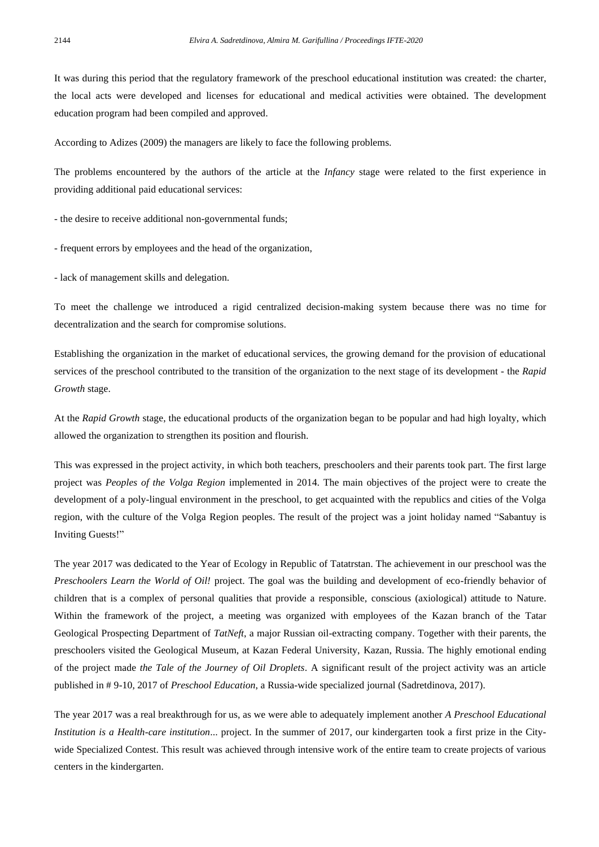It was during this period that the regulatory framework of the preschool educational institution was created: the charter, the local acts were developed and licenses for educational and medical activities were obtained. The development education program had been compiled and approved.

According to Adizes (2009) the managers are likely to face the following problems.

The problems encountered by the authors of the article at the *Infancy* stage were related to the first experience in providing additional paid educational services:

- the desire to receive additional non-governmental funds;

- frequent errors by employees and the head of the organization,
- lack of management skills and delegation.

To meet the challenge we introduced a rigid centralized decision-making system because there was no time for decentralization and the search for compromise solutions.

Establishing the organization in the market of educational services, the growing demand for the provision of educational services of the preschool contributed to the transition of the organization to the next stage of its development - the *Rapid Growth* stage.

At the *Rapid Growth* stage, the educational products of the organization began to be popular and had high loyalty, which allowed the organization to strengthen its position and flourish.

This was expressed in the project activity, in which both teachers, preschoolers and their parents took part. The first large project was *Peoples of the Volga Region* implemented in 2014. The main objectives of the project were to create the development of a poly-lingual environment in the preschool, to get acquainted with the republics and cities of the Volga region, with the culture of the Volga Region peoples. The result of the project was a joint holiday named "Sabantuy is Inviting Guests!"

The year 2017 was dedicated to the Year of Ecology in Republic of Tatatrstan. The achievement in our preschool was the *Preschoolers Learn the World of Oil!* project. The goal was the building and development of eco-friendly behavior of children that is a complex of personal qualities that provide a responsible, conscious (axiological) attitude to Nature. Within the framework of the project, a meeting was organized with employees of the Kazan branch of the Tatar Geological Prospecting Department of *TatNeft*, a major Russian oil-extracting company. Together with their parents, the preschoolers visited the Geological Museum, at Kazan Federal University, Kazan, Russia. The highly emotional ending of the project made *the Tale of the Journey of Oil Droplets*. A significant result of the project activity was an article published in # 9-10, 2017 of *Preschool Education*, a Russia-wide specialized journal (Sadretdinova, 2017).

The year 2017 was a real breakthrough for us, as we were able to adequately implement another *A Preschool Educational Institution is a Health-care institution*... project. In the summer of 2017, our kindergarten took a first prize in the Citywide Specialized Contest. This result was achieved through intensive work of the entire team to create projects of various centers in the kindergarten.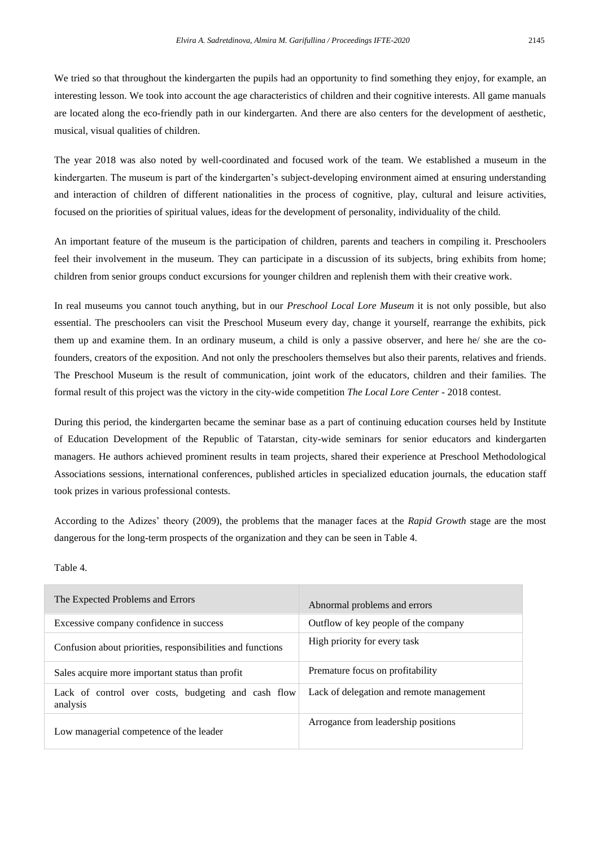We tried so that throughout the kindergarten the pupils had an opportunity to find something they enjoy, for example, an interesting lesson. We took into account the age characteristics of children and their cognitive interests. All game manuals are located along the eco-friendly path in our kindergarten. And there are also centers for the development of aesthetic, musical, visual qualities of children.

The year 2018 was also noted by well-coordinated and focused work of the team. We established a museum in the kindergarten. The museum is part of the kindergarten's subject-developing environment aimed at ensuring understanding and interaction of children of different nationalities in the process of cognitive, play, cultural and leisure activities, focused on the priorities of spiritual values, ideas for the development of personality, individuality of the child.

An important feature of the museum is the participation of children, parents and teachers in compiling it. Preschoolers feel their involvement in the museum. They can participate in a discussion of its subjects, bring exhibits from home; children from senior groups conduct excursions for younger children and replenish them with their creative work.

In real museums you cannot touch anything, but in our *Preschool Local Lore Museum* it is not only possible, but also essential. The preschoolers can visit the Preschool Museum every day, change it yourself, rearrange the exhibits, pick them up and examine them. In an ordinary museum, a child is only a passive observer, and here he/ she are the cofounders, creators of the exposition. And not only the preschoolers themselves but also their parents, relatives and friends. The Preschool Museum is the result of communication, joint work of the educators, children and their families. The formal result of this project was the victory in the city-wide competition *The Local Lore Center* - 2018 contest.

During this period, the kindergarten became the seminar base as a part of continuing education courses held by Institute of Education Development of the Republic of Tatarstan, city-wide seminars for senior educators and kindergarten managers. He authors achieved prominent results in team projects, shared their experience at Preschool Methodological Associations sessions, international conferences, published articles in specialized education journals, the education staff took prizes in various professional contests.

According to the Adizes' theory (2009), the problems that the manager faces at the *Rapid Growth* stage are the most dangerous for the long-term prospects of the organization and they can be seen in Table 4.

## Table 4.

| The Expected Problems and Errors                                | Abnormal problems and errors             |
|-----------------------------------------------------------------|------------------------------------------|
| Excessive company confidence in success                         | Outflow of key people of the company     |
| Confusion about priorities, responsibilities and functions      | High priority for every task             |
| Sales acquire more important status than profit                 | Premature focus on profitability         |
| Lack of control over costs, budgeting and cash flow<br>analysis | Lack of delegation and remote management |
| Low managerial competence of the leader                         | Arrogance from leadership positions      |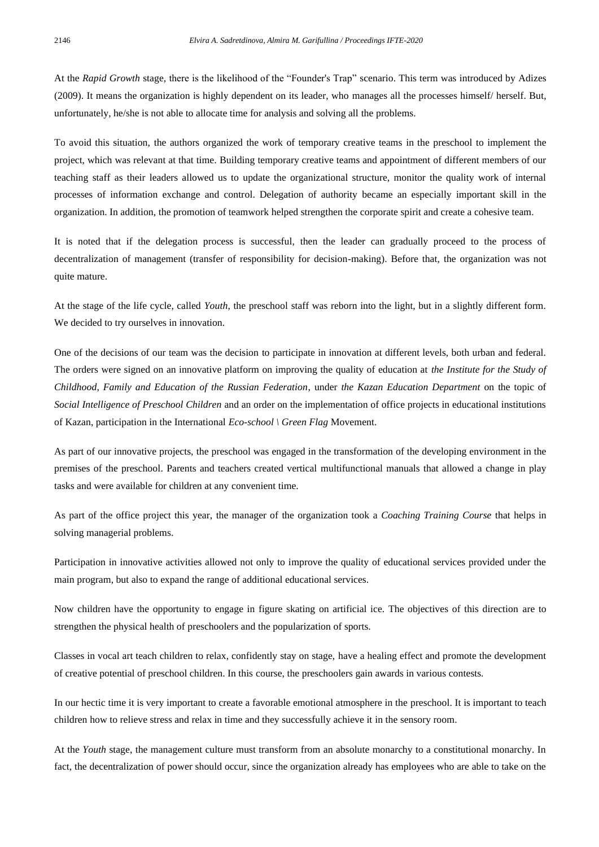At the *Rapid Growth* stage, there is the likelihood of the "Founder's Trap" scenario. This term was introduced by Adizes (2009). It means the organization is highly dependent on its leader, who manages all the processes himself/ herself. But, unfortunately, he/she is not able to allocate time for analysis and solving all the problems.

To avoid this situation, the authors organized the work of temporary creative teams in the preschool to implement the project, which was relevant at that time. Building temporary creative teams and appointment of different members of our teaching staff as their leaders allowed us to update the organizational structure, monitor the quality work of internal processes of information exchange and control. Delegation of authority became an especially important skill in the organization. In addition, the promotion of teamwork helped strengthen the corporate spirit and create a cohesive team.

It is noted that if the delegation process is successful, then the leader can gradually proceed to the process of decentralization of management (transfer of responsibility for decision-making). Before that, the organization was not quite mature.

At the stage of the life cycle, called *Youth*, the preschool staff was reborn into the light, but in a slightly different form. We decided to try ourselves in innovation.

One of the decisions of our team was the decision to participate in innovation at different levels, both urban and federal. The orders were signed on an innovative platform on improving the quality of education at *the Institute for the Study of Childhood, Family and Education of the Russian Federation*, under *the Kazan Education Department* on the topic of *Social Intelligence of Preschool Children* and an order on the implementation of office projects in educational institutions of Kazan, participation in the International *Eco-school \ Green Flag* Movement.

As part of our innovative projects, the preschool was engaged in the transformation of the developing environment in the premises of the preschool. Parents and teachers created vertical multifunctional manuals that allowed a change in play tasks and were available for children at any convenient time.

As part of the office project this year, the manager of the organization took a *Coaching Training Course* that helps in solving managerial problems.

Participation in innovative activities allowed not only to improve the quality of educational services provided under the main program, but also to expand the range of additional educational services.

Now children have the opportunity to engage in figure skating on artificial ice. The objectives of this direction are to strengthen the physical health of preschoolers and the popularization of sports.

Classes in vocal art teach children to relax, confidently stay on stage, have a healing effect and promote the development of creative potential of preschool children. In this course, the preschoolers gain awards in various contests.

In our hectic time it is very important to create a favorable emotional atmosphere in the preschool. It is important to teach children how to relieve stress and relax in time and they successfully achieve it in the sensory room.

At the *Youth* stage, the management culture must transform from an absolute monarchy to a constitutional monarchy. In fact, the decentralization of power should occur, since the organization already has employees who are able to take on the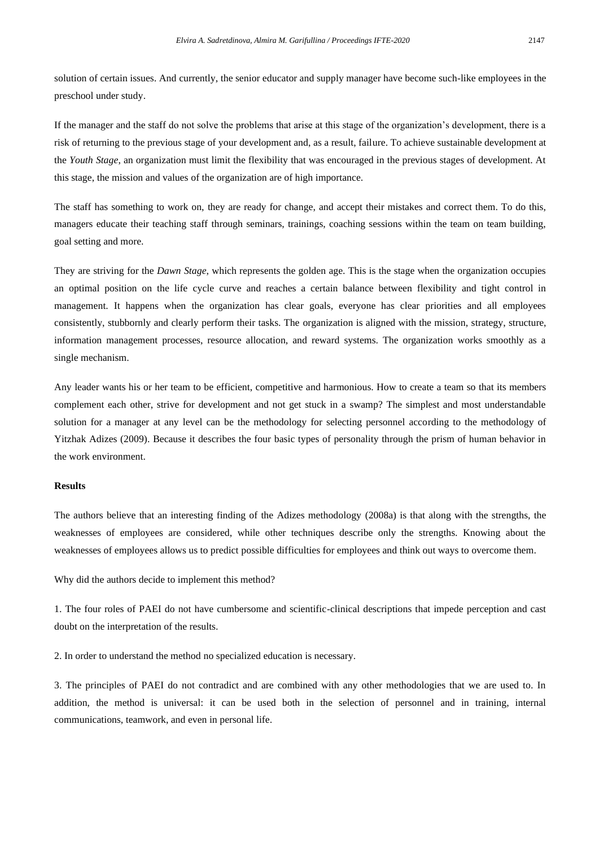solution of certain issues. And currently, the senior educator and supply manager have become such-like employees in the preschool under study.

If the manager and the staff do not solve the problems that arise at this stage of the organization's development, there is a risk of returning to the previous stage of your development and, as a result, failure. To achieve sustainable development at the *Youth Stage*, an organization must limit the flexibility that was encouraged in the previous stages of development. At this stage, the mission and values of the organization are of high importance.

The staff has something to work on, they are ready for change, and accept their mistakes and correct them. To do this, managers educate their teaching staff through seminars, trainings, coaching sessions within the team on team building, goal setting and more.

They are striving for the *Dawn Stage*, which represents the golden age. This is the stage when the organization occupies an optimal position on the life cycle curve and reaches a certain balance between flexibility and tight control in management. It happens when the organization has clear goals, everyone has clear priorities and all employees consistently, stubbornly and clearly perform their tasks. The organization is aligned with the mission, strategy, structure, information management processes, resource allocation, and reward systems. The organization works smoothly as a single mechanism.

Any leader wants his or her team to be efficient, competitive and harmonious. How to create a team so that its members complement each other, strive for development and not get stuck in a swamp? The simplest and most understandable solution for a manager at any level can be the methodology for selecting personnel according to the methodology of Yitzhak Adizes (2009). Because it describes the four basic types of personality through the prism of human behavior in the work environment.

## **Results**

The authors believe that an interesting finding of the Adizes methodology (2008a) is that along with the strengths, the weaknesses of employees are considered, while other techniques describe only the strengths. Knowing about the weaknesses of employees allows us to predict possible difficulties for employees and think out ways to overcome them.

Why did the authors decide to implement this method?

1. The four roles of PAEI do not have cumbersome and scientific-clinical descriptions that impede perception and cast doubt on the interpretation of the results.

2. In order to understand the method no specialized education is necessary.

3. The principles of PAEI do not contradict and are combined with any other methodologies that we are used to. In addition, the method is universal: it can be used both in the selection of personnel and in training, internal communications, teamwork, and even in personal life.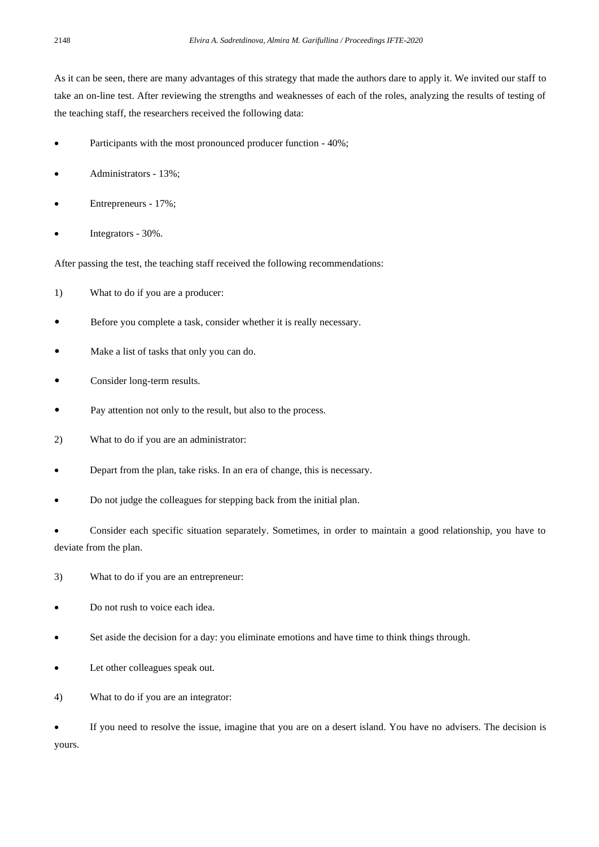As it can be seen, there are many advantages of this strategy that made the authors dare to apply it. We invited our staff to take an on-line test. After reviewing the strengths and weaknesses of each of the roles, analyzing the results of testing of the teaching staff, the researchers received the following data:

- Participants with the most pronounced producer function 40%;
- Administrators 13%;
- Entrepreneurs 17%;
- Integrators 30%.

After passing the test, the teaching staff received the following recommendations:

- 1) What to do if you are a producer:
- Before you complete a task, consider whether it is really necessary.
- Make a list of tasks that only you can do.
- Consider long-term results.
- Pay attention not only to the result, but also to the process.
- 2) What to do if you are an administrator:
- Depart from the plan, take risks. In an era of change, this is necessary.
- Do not judge the colleagues for stepping back from the initial plan.

• Consider each specific situation separately. Sometimes, in order to maintain a good relationship, you have to deviate from the plan.

- 3) What to do if you are an entrepreneur:
- Do not rush to voice each idea.
- Set aside the decision for a day: you eliminate emotions and have time to think things through.
- Let other colleagues speak out.
- 4) What to do if you are an integrator:

• If you need to resolve the issue, imagine that you are on a desert island. You have no advisers. The decision is yours.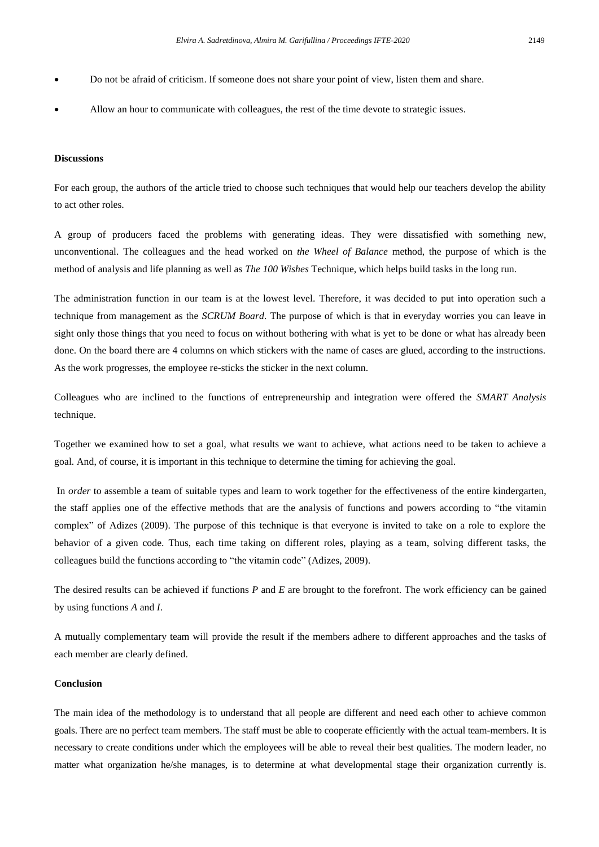- Do not be afraid of criticism. If someone does not share your point of view, listen them and share.
- Allow an hour to communicate with colleagues, the rest of the time devote to strategic issues.

#### **Discussions**

For each group, the authors of the article tried to choose such techniques that would help our teachers develop the ability to act other roles.

A group of producers faced the problems with generating ideas. They were dissatisfied with something new, unconventional. The colleagues and the head worked on *the Wheel of Balance* method, the purpose of which is the method of analysis and life planning as well as *The 100 Wishes* Technique, which helps build tasks in the long run.

The administration function in our team is at the lowest level. Therefore, it was decided to put into operation such a technique from management as the *SCRUM Board*. The purpose of which is that in everyday worries you can leave in sight only those things that you need to focus on without bothering with what is yet to be done or what has already been done. On the board there are 4 columns on which stickers with the name of cases are glued, according to the instructions. As the work progresses, the employee re-sticks the sticker in the next column.

Colleagues who are inclined to the functions of entrepreneurship and integration were offered the *SMART Analysis* technique.

Together we examined how to set a goal, what results we want to achieve, what actions need to be taken to achieve a goal. And, of course, it is important in this technique to determine the timing for achieving the goal.

In *order* to assemble a team of suitable types and learn to work together for the effectiveness of the entire kindergarten, the staff applies one of the effective methods that are the analysis of functions and powers according to "the vitamin complex" of Adizes (2009). The purpose of this technique is that everyone is invited to take on a role to explore the behavior of a given code. Thus, each time taking on different roles, playing as a team, solving different tasks, the colleagues build the functions according to "the vitamin code" (Adizes, 2009).

The desired results can be achieved if functions *P* and *E* are brought to the forefront. The work efficiency can be gained by using functions *A* and *I*.

A mutually complementary team will provide the result if the members adhere to different approaches and the tasks of each member are clearly defined.

#### **Conclusion**

The main idea of the methodology is to understand that all people are different and need each other to achieve common goals. There are no perfect team members. The staff must be able to cooperate efficiently with the actual team-members. It is necessary to create conditions under which the employees will be able to reveal their best qualities. The modern leader, no matter what organization he/she manages, is to determine at what developmental stage their organization currently is.